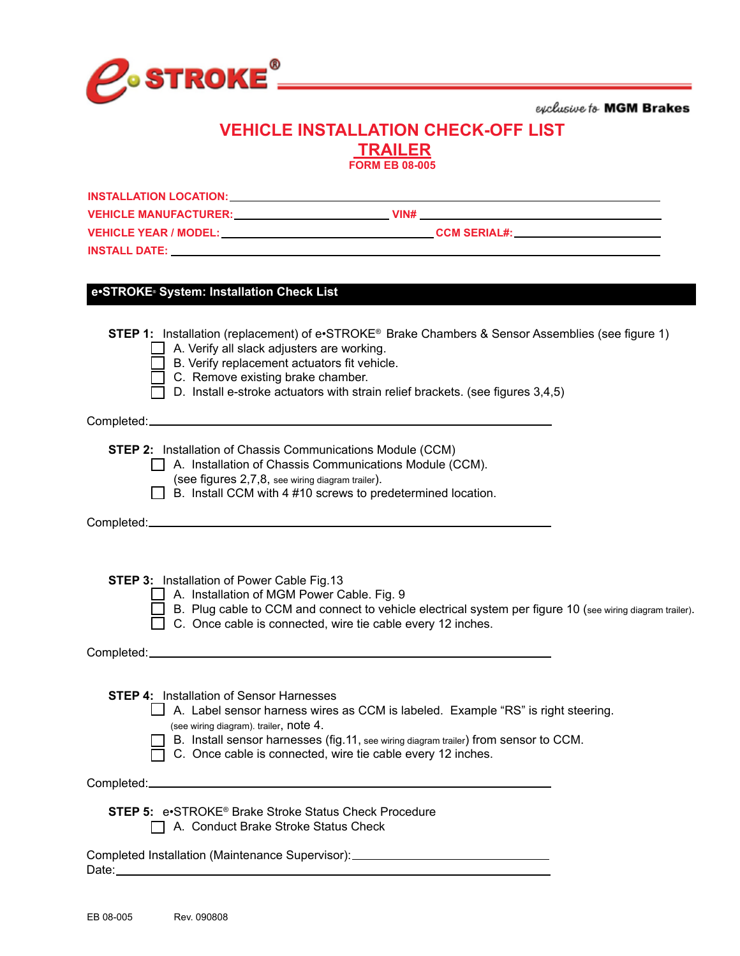

exclusive to MGM Brakes

# **VEHICLE INSTALLATION CHECK-OFF LIST TRAILER**

| <b>FORM EB 08-005</b>                                                                                                                                                                                                                                                                                                                |
|--------------------------------------------------------------------------------------------------------------------------------------------------------------------------------------------------------------------------------------------------------------------------------------------------------------------------------------|
| INSTALLATION LOCATION: UNIVERSITY OF A SERIES OF A SERIES OF A SERIES OF A SERIES OF A SERIES OF A SERIES OF A                                                                                                                                                                                                                       |
| VEHICLE MANUFACTURER: VIN# VIN# VIN# VINH                                                                                                                                                                                                                                                                                            |
|                                                                                                                                                                                                                                                                                                                                      |
|                                                                                                                                                                                                                                                                                                                                      |
| e•STROKE System: Installation Check List                                                                                                                                                                                                                                                                                             |
| STEP 1: Installation (replacement) of e•STROKE® Brake Chambers & Sensor Assemblies (see figure 1)<br>$\Box$ A. Verify all slack adjusters are working.<br>$\Box$ B. Verify replacement actuators fit vehicle.<br>C. Remove existing brake chamber.<br>D. Install e-stroke actuators with strain relief brackets. (see figures 3,4,5) |
|                                                                                                                                                                                                                                                                                                                                      |
| <b>STEP 2:</b> Installation of Chassis Communications Module (CCM)<br>A. Installation of Chassis Communications Module (CCM).<br>(see figures 2,7,8, see wiring diagram trailer).<br>$\Box$ B. Install CCM with 4 #10 screws to predetermined location.                                                                              |
|                                                                                                                                                                                                                                                                                                                                      |
| <b>STEP 3: Installation of Power Cable Fig.13</b><br>  A. Installation of MGM Power Cable. Fig. 9<br>B. Plug cable to CCM and connect to vehicle electrical system per figure 10 (see wiring diagram trailer).<br>$\Box$ C. Once cable is connected, wire tie cable every 12 inches.                                                 |
|                                                                                                                                                                                                                                                                                                                                      |
| <b>STEP 4:</b> Installation of Sensor Harnesses<br>A. Label sensor harness wires as CCM is labeled. Example "RS" is right steering.<br>(see wiring diagram). trailer, note 4.<br>B. Install sensor harnesses (fig.11, see wiring diagram trailer) from sensor to CCM.<br>C. Once cable is connected, wire tie cable every 12 inches. |
|                                                                                                                                                                                                                                                                                                                                      |
| <b>STEP 5: e</b> STROKE <sup>®</sup> Brake Stroke Status Check Procedure<br>A. Conduct Brake Stroke Status Check                                                                                                                                                                                                                     |

Completed Installation (Maintenance Supervisor): Date:\_\_\_\_\_\_\_\_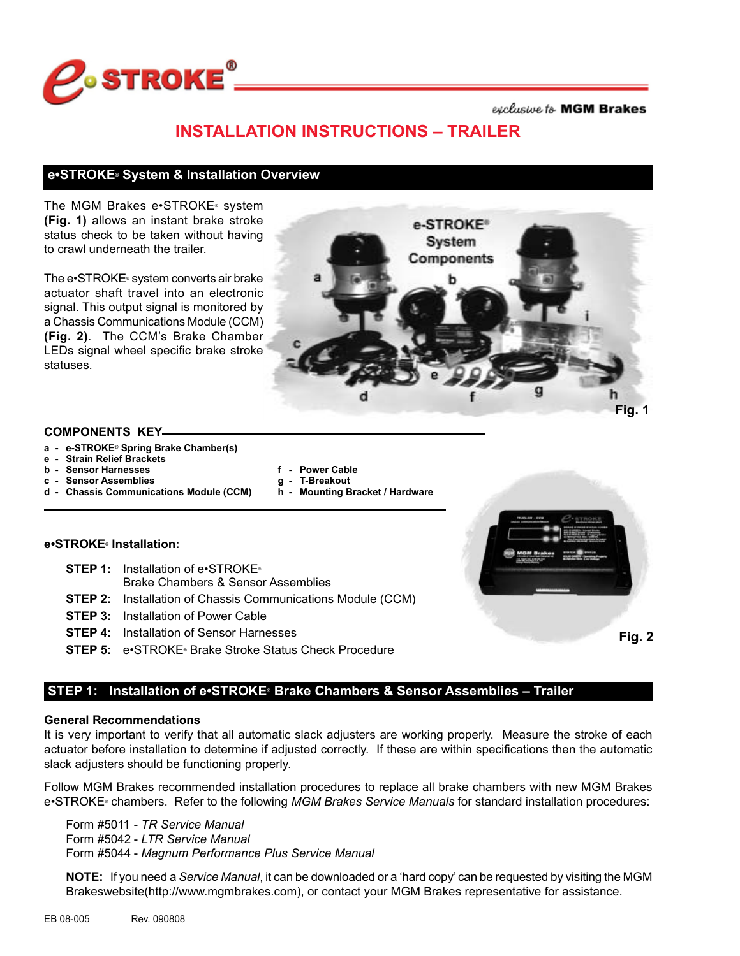

exclusive to MGM Brakes

# **INSTALLATION INSTRUCTIONS – TRAILER**

### **e•STROKE® System & Installation Overview**

The MGM Brakes e•STROKE® system **(Fig. 1)** allows an instant brake stroke status check to be taken without having to crawl underneath the trailer.

The e•STROKE<sup>®</sup> system converts air brake actuator shaft travel into an electronic signal. This output signal is monitored by a Chassis Communications Module (CCM) **(Fig. 2)**. The CCM's Brake Chamber LEDs signal wheel specific brake stroke statuses.



#### **COMPONENTS KEY**

- **a - e-STROKE® Spring Brake Chamber(s)**
- **e - Strain Relief Brackets**
- 
- **c - Sensor Assemblies g - T-Breakout d - Chassis Communications Module (CCM)**
- **f** Power Cable<br>**g** T-Breakout
	-

### **e•STROKE® Installation:**

- **STEP 1:** Installation of e•STROKE®
	- Brake Chambers & Sensor Assemblies
- **STEP 2:** Installation of Chassis Communications Module (CCM)
- **STEP 3:** Installation of Power Cable
- **STEP 4:** Installation of Sensor Harnesses
- **STEP 5:** e•STROKE® Brake Stroke Status Check Procedure

**Fig. 2**

## **STEP 1: Installation of e•STROKE® Brake Chambers & Sensor Assemblies – Trailer**

### **General Recommendations**

It is very important to verify that all automatic slack adjusters are working properly. Measure the stroke of each actuator before installation to determine if adjusted correctly. If these are within specifications then the automatic slack adjusters should be functioning properly.

Follow MGM Brakes recommended installation procedures to replace all brake chambers with new MGM Brakes e•STROKE® chambers. Refer to the following *MGM Brakes Service Manuals* for standard installation procedures:

Form #5011 - *TR Service Manual* Form #5042 - *LTR Service Manual* Form #5044 - *Magnum Performance Plus Service Manual*

**NOTE:** If you need a *Service Manual*, it can be downloaded or a 'hard copy' can be requested by visiting the MGM Brakeswebsite(http://www.mgmbrakes.com), or contact your MGM Brakes representative for assistance.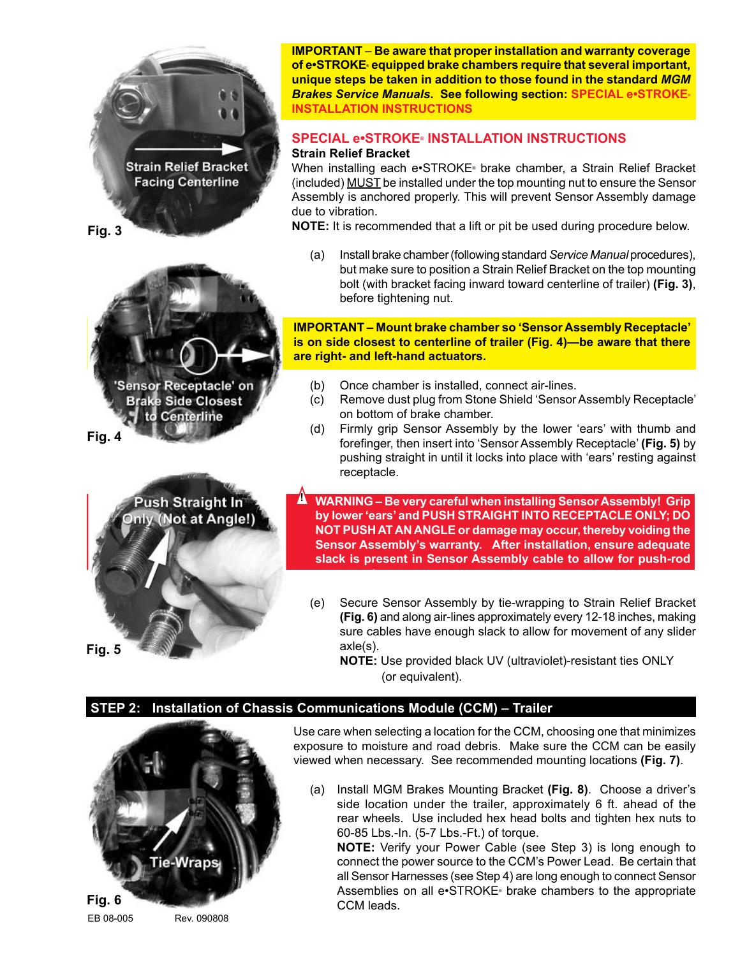

**Fig. 3**



**Fig. 4**



**IMPORTANT** – **Be aware that proper installation and warranty coverage of e•STROKE® equipped brake chambers require that several important, unique steps be taken in addition to those found in the standard** *MGM Brakes Service Manuals***. See following section: SPECIAL e•STROKE® INSTALLATION INSTRUCTIONS**

# **SPECIAL e•STROKE® INSTALLATION INSTRUCTIONS**

## **Strain Relief Bracket**

When installing each e•STROKE® brake chamber, a Strain Relief Bracket (included) MUST be installed under the top mounting nut to ensure the Sensor Assembly is anchored properly. This will prevent Sensor Assembly damage due to vibration.

**NOTE:** It is recommended that a lift or pit be used during procedure below.

(a) Install brake chamber (following standard *Service Manual* procedures), but make sure to position a Strain Relief Bracket on the top mounting bolt (with bracket facing inward toward centerline of trailer) **(Fig. 3)**, before tightening nut.

**IMPORTANT – Mount brake chamber so 'Sensor Assembly Receptacle' is on side closest to centerline of trailer (Fig. 4)—be aware that there are right- and left-hand actuators.**

- (b) Once chamber is installed, connect air-lines.
- (c) Remove dust plug from Stone Shield 'Sensor Assembly Receptacle' on bottom of brake chamber.
- (d) Firmly grip Sensor Assembly by the lower 'ears' with thumb and forefinger, then insert into 'Sensor Assembly Receptacle' **(Fig. 5)** by pushing straight in until it locks into place with 'ears' resting against receptacle.

**WARNING – Be very careful when installing Sensor Assembly! Grip by lower 'ears' and PUSH STRAIGHT INTO RECEPTACLE ONLY; DO NOT PUSH AT AN ANGLE or damage may occur, thereby voiding the Sensor Assembly's warranty. After installation, ensure adequate slack is present in Sensor Assembly cable to allow for push-rod !**

(e) Secure Sensor Assembly by tie-wrapping to Strain Relief Bracket **(Fig. 6)** and along air-lines approximately every 12-18 inches, making sure cables have enough slack to allow for movement of any slider axle(s).

**NOTE:** Use provided black UV (ultraviolet)-resistant ties ONLY (or equivalent).

## **STEP 2: Installation of Chassis Communications Module (CCM) – Trailer**

**movement.**



Use care when selecting a location for the CCM, choosing one that minimizes exposure to moisture and road debris. Make sure the CCM can be easily viewed when necessary. See recommended mounting locations **(Fig. 7)**.

(a) Install MGM Brakes Mounting Bracket **(Fig. 8)**. Choose a driver's side location under the trailer, approximately 6 ft. ahead of the rear wheels. Use included hex head bolts and tighten hex nuts to 60-85 Lbs.-In. (5-7 Lbs.-Ft.) of torque.

**NOTE:** Verify your Power Cable (see Step 3) is long enough to connect the power source to the CCM's Power Lead. Be certain that all Sensor Harnesses (see Step 4) are long enough to connect Sensor Assemblies on all e•STROKE® brake chambers to the appropriate CCM leads.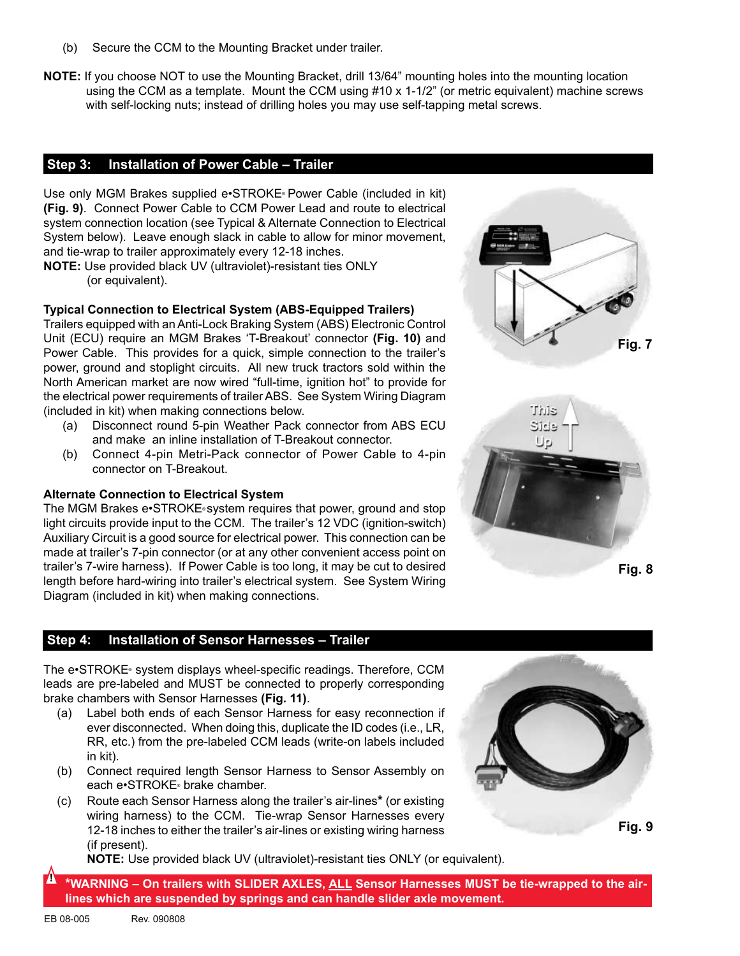- (b) Secure the CCM to the Mounting Bracket under trailer.
- **NOTE:** If you choose NOT to use the Mounting Bracket, drill 13/64" mounting holes into the mounting location using the CCM as a template. Mount the CCM using #10 x 1-1/2" (or metric equivalent) machine screws with self-locking nuts; instead of drilling holes you may use self-tapping metal screws.

### **Step 3: Installation of Power Cable – Trailer**

Use only MGM Brakes supplied e•STROKE® Power Cable (included in kit) **(Fig. 9)**. Connect Power Cable to CCM Power Lead and route to electrical system connection location (see Typical & Alternate Connection to Electrical System below). Leave enough slack in cable to allow for minor movement, and tie-wrap to trailer approximately every 12-18 inches.

**NOTE:** Use provided black UV (ultraviolet)-resistant ties ONLY (or equivalent).

### **Typical Connection to Electrical System (ABS-Equipped Trailers)**

Trailers equipped with an Anti-Lock Braking System (ABS) Electronic Control Unit (ECU) require an MGM Brakes 'T-Breakout' connector **(Fig. 10)** and Power Cable. This provides for a quick, simple connection to the trailer's power, ground and stoplight circuits. All new truck tractors sold within the North American market are now wired "full-time, ignition hot" to provide for the electrical power requirements of trailer ABS. See System Wiring Diagram (included in kit) when making connections below.

- (a) Disconnect round 5-pin Weather Pack connector from ABS ECU and make an inline installation of T-Breakout connector.
- (b) Connect 4-pin Metri-Pack connector of Power Cable to 4-pin connector on T-Breakout.

### **Alternate Connection to Electrical System**

The MGM Brakes e•STROKE® system requires that power, ground and stop light circuits provide input to the CCM. The trailer's 12 VDC (ignition-switch) Auxiliary Circuit is a good source for electrical power. This connection can be made at trailer's 7-pin connector (or at any other convenient access point on trailer's 7-wire harness). If Power Cable is too long, it may be cut to desired length before hard-wiring into trailer's electrical system. See System Wiring Diagram (included in kit) when making connections.

### **Step 4: Installation of Sensor Harnesses – Trailer**

The e•STROKE® system displays wheel-specific readings. Therefore, CCM leads are pre-labeled and MUST be connected to properly corresponding brake chambers with Sensor Harnesses **(Fig. 11)**.

- (a) Label both ends of each Sensor Harness for easy reconnection if ever disconnected. When doing this, duplicate the ID codes (i.e., LR, RR, etc.) from the pre-labeled CCM leads (write-on labels included in kit).
- (b) Connect required length Sensor Harness to Sensor Assembly on each e•STROKE® brake chamber.
- (c) Route each Sensor Harness along the trailer's air-lines**\*** (or existing wiring harness) to the CCM. Tie-wrap Sensor Harnesses every 12-18 inches to either the trailer's air-lines or existing wiring harness (if present).

**NOTE:** Use provided black UV (ultraviolet)-resistant ties ONLY (or equivalent).

**\*WARNING – On trailers with SLIDER AXLES, ALL Sensor Harnesses MUST be tie-wrapped to the airlines which are suspended by springs and can handle slider axle movement. !**